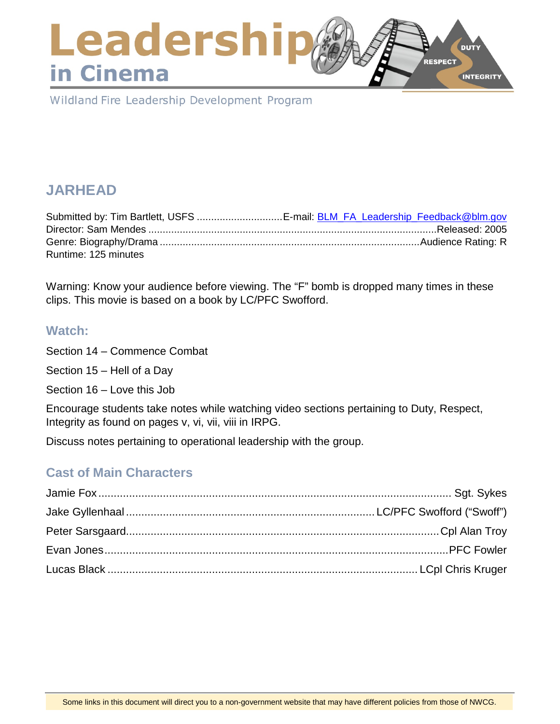### Leadershi **DUTY** RESPECT in Cinema **INTEGRITY**

Wildland Fire Leadership Development Program

# **JARHEAD**

| Submitted by: Tim Bartlett, USFS E-mail: BLM_FA_Leadership_Feedback@blm.gov |  |
|-----------------------------------------------------------------------------|--|
|                                                                             |  |
|                                                                             |  |
| Runtime: 125 minutes                                                        |  |

Warning: Know your audience before viewing. The "F" bomb is dropped many times in these clips. This movie is based on a book by LC/PFC Swofford.

#### **Watch:**

Section 14 – Commence Combat

Section 15 – Hell of a Day

Section 16 – Love this Job

Encourage students take notes while watching video sections pertaining to Duty, Respect, Integrity as found on pages v, vi, vii, viii in IRPG.

Discuss notes pertaining to operational leadership with the group.

## **Cast of Main Characters**